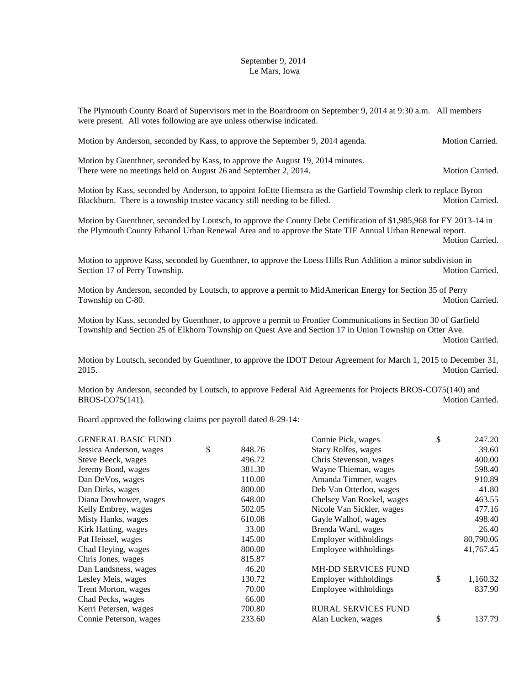## September 9, 2014 Le Mars, Iowa

The Plymouth County Board of Supervisors met in the Boardroom on September 9, 2014 at 9:30 a.m. All members were present. All votes following are aye unless otherwise indicated.

Motion by Anderson, seconded by Kass, to approve the September 9, 2014 agenda. Motion Carried. Motion by Guenthner, seconded by Kass, to approve the August 19, 2014 minutes. There were no meetings held on August 26 and September 2, 2014. Motion Carried. Motion by Kass, seconded by Anderson, to appoint JoEtte Hiemstra as the Garfield Township clerk to replace Byron Blackburn. There is a township trustee vacancy still needing to be filled. Motion Carried.

Motion by Guenthner, seconded by Loutsch, to approve the County Debt Certification of \$1,985,968 for FY 2013-14 in the Plymouth County Ethanol Urban Renewal Area and to approve the State TIF Annual Urban Renewal report.

Motion Carried.

Motion to approve Kass, seconded by Guenthner, to approve the Loess Hills Run Addition a minor subdivision in Section 17 of Perry Township. Motion Carried.

Motion by Anderson, seconded by Loutsch, to approve a permit to MidAmerican Energy for Section 35 of Perry Township on C-80. Motion Carried.

Motion by Kass, seconded by Guenthner, to approve a permit to Frontier Communications in Section 30 of Garfield Township and Section 25 of Elkhorn Township on Quest Ave and Section 17 in Union Township on Otter Ave.

Motion Carried.

Motion by Loutsch, seconded by Guenthner, to approve the IDOT Detour Agreement for March 1, 2015 to December 31, 2015. Motion Carried.

Motion by Anderson, seconded by Loutsch, to approve Federal Aid Agreements for Projects BROS-CO75(140) and BROS-CO75(141). Motion Carried.

Board approved the following claims per payroll dated 8-29-14:

|              | Connie Pick, wages         | \$<br>247.20   |
|--------------|----------------------------|----------------|
| \$<br>848.76 | Stacy Rolfes, wages        | 39.60          |
| 496.72       | Chris Stevenson, wages     | 400.00         |
| 381.30       | Wayne Thieman, wages       | 598.40         |
| 110.00       | Amanda Timmer, wages       | 910.89         |
| 800.00       | Deb Van Otterloo, wages    | 41.80          |
| 648.00       | Chelsey Van Roekel, wages  | 463.55         |
| 502.05       | Nicole Van Sickler, wages  | 477.16         |
| 610.08       | Gayle Walhof, wages        | 498.40         |
| 33.00        | Brenda Ward, wages         | 26.40          |
| 145.00       | Employer withholdings      | 80,790.06      |
| 800.00       | Employee withholdings      | 41,767.45      |
| 815.87       |                            |                |
| 46.20        | <b>MH-DD SERVICES FUND</b> |                |
| 130.72       | Employer withholdings      | \$<br>1,160.32 |
| 70.00        | Employee withholdings      | 837.90         |
| 66.00        |                            |                |
| 700.80       | <b>RURAL SERVICES FUND</b> |                |
| 233.60       | Alan Lucken, wages         | \$<br>137.79   |
|              |                            |                |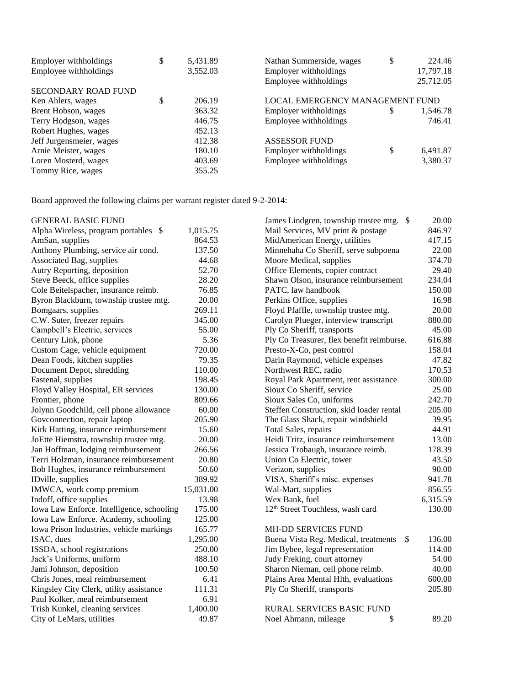| Employer withholdings      | \$<br>5,431.89 | Nathan Summerside, wages        | \$ | 224.46    |
|----------------------------|----------------|---------------------------------|----|-----------|
| Employee withholdings      | 3,552.03       | Employer withholdings           |    | 17,797.18 |
|                            |                | Employee withholdings           |    | 25,712.05 |
| <b>SECONDARY ROAD FUND</b> |                |                                 |    |           |
| Ken Ahlers, wages          | 206.19         | LOCAL EMERGENCY MANAGEMENT FUND |    |           |
| Brent Hobson, wages        | 363.32         | Employer withholdings           | S  | 1,546.78  |
| Terry Hodgson, wages       | 446.75         | Employee withholdings           |    | 746.41    |
| Robert Hughes, wages       | 452.13         |                                 |    |           |
| Jeff Jurgensmeier, wages   | 412.38         | <b>ASSESSOR FUND</b>            |    |           |
| Arnie Meister, wages       | 180.10         | Employer withholdings           | \$ | 6,491.87  |
| Loren Mosterd, wages       | 403.69         | Employee withholdings           |    | 3,380.37  |
| Tommy Rice, wages          | 355.25         |                                 |    |           |

Board approved the following claims per warrant register dated 9-2-2014:

| <b>GENERAL BASIC FUND</b>                 |           | James Lindgren, township trustee mtg. \$              | 20.00    |
|-------------------------------------------|-----------|-------------------------------------------------------|----------|
| Alpha Wireless, program portables \$      | 1,015.75  | Mail Services, MV print & postage                     | 846.97   |
| AmSan, supplies                           | 864.53    | MidAmerican Energy, utilities                         | 417.15   |
| Anthony Plumbing, service air cond.       | 137.50    | Minnehaha Co Sheriff, serve subpoena                  | 22.00    |
| Associated Bag, supplies                  | 44.68     | Moore Medical, supplies                               | 374.70   |
| Autry Reporting, deposition               | 52.70     | Office Elements, copier contract                      | 29.40    |
| Steve Beeck, office supplies              | 28.20     | Shawn Olson, insurance reimbursement                  | 234.04   |
| Cole Beitelspacher, insurance reimb.      | 76.85     | PATC, law handbook                                    | 150.00   |
| Byron Blackburn, township trustee mtg.    | 20.00     | Perkins Office, supplies                              | 16.98    |
| Bomgaars, supplies                        | 269.11    | Floyd Pfaffle, township trustee mtg.                  | 20.00    |
| C.W. Suter, freezer repairs               | 345.00    | Carolyn Plueger, interview transcript                 | 880.00   |
| Campbell's Electric, services             | 55.00     | Ply Co Sheriff, transports                            | 45.00    |
| Century Link, phone                       | 5.36      | Ply Co Treasurer, flex benefit reimburse.             | 616.88   |
| Custom Cage, vehicle equipment            | 720.00    | Presto-X-Co, pest control                             | 158.04   |
| Dean Foods, kitchen supplies              | 79.35     | Darin Raymond, vehicle expenses                       | 47.82    |
| Document Depot, shredding                 | 110.00    | Northwest REC, radio                                  | 170.53   |
| Fastenal, supplies                        | 198.45    | Royal Park Apartment, rent assistance                 | 300.00   |
| Floyd Valley Hospital, ER services        | 130.00    | Sioux Co Sheriff, service                             | 25.00    |
| Frontier, phone                           | 809.66    | Sioux Sales Co, uniforms                              | 242.70   |
| Jolynn Goodchild, cell phone allowance    | 60.00     | Steffen Construction, skid loader rental              | 205.00   |
| Govconnection, repair laptop              | 205.90    | The Glass Shack, repair windshield                    | 39.95    |
| Kirk Hatting, insurance reimbursement     | 15.60     | Total Sales, repairs                                  | 44.91    |
| JoEtte Hiemstra, township trustee mtg.    | 20.00     | Heidi Tritz, insurance reimbursement                  | 13.00    |
| Jan Hoffman, lodging reimbursement        | 266.56    | Jessica Trobaugh, insurance reimb.                    | 178.39   |
| Terri Holzman, insurance reimbursement    | 20.80     | Union Co Electric, tower                              | 43.50    |
| Bob Hughes, insurance reimbursement       | 50.60     | Verizon, supplies                                     | 90.00    |
| IDville, supplies                         | 389.92    | VISA, Sheriff's misc. expenses                        | 941.78   |
| IMWCA, work comp premium                  | 15,031.00 | Wal-Mart, supplies                                    | 856.55   |
| Indoff, office supplies                   | 13.98     | Wex Bank, fuel                                        | 6,315.59 |
| Iowa Law Enforce. Intelligence, schooling | 175.00    | 12 <sup>th</sup> Street Touchless, wash card          | 130.00   |
| Iowa Law Enforce. Academy, schooling      | 125.00    |                                                       |          |
| Iowa Prison Industries, vehicle markings  | 165.77    | <b>MH-DD SERVICES FUND</b>                            |          |
| ISAC, dues                                | 1,295.00  | Buena Vista Reg. Medical, treatments<br>$\mathcal{S}$ | 136.00   |
| ISSDA, school registrations               | 250.00    | Jim Bybee, legal representation                       | 114.00   |
| Jack's Uniforms, uniform                  | 488.10    | Judy Freking, court attorney                          | 54.00    |
| Jami Johnson, deposition                  | 100.50    | Sharon Nieman, cell phone reimb.                      | 40.00    |
| Chris Jones, meal reimbursement           | 6.41      | Plains Area Mental Hlth, evaluations                  | 600.00   |
| Kingsley City Clerk, utility assistance   | 111.31    | Ply Co Sheriff, transports                            | 205.80   |
| Paul Kolker, meal reimbursement           | 6.91      |                                                       |          |
| Trish Kunkel, cleaning services           | 1,400.00  | <b>RURAL SERVICES BASIC FUND</b>                      |          |
| City of LeMars, utilities                 | 49.87     | \$<br>Noel Ahmann, mileage                            | 89.20    |